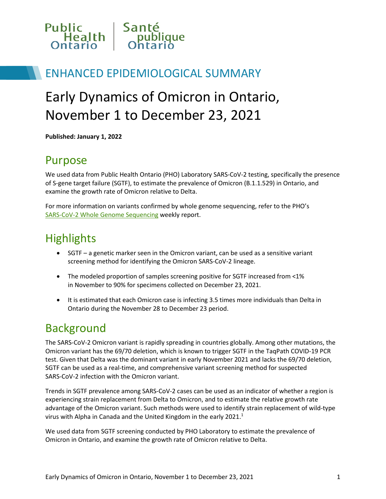

### ENHANCED EPIDEMIOLOGICAL SUMMARY

# Early Dynamics of Omicron in Ontario, November 1 to December 23, 2021

**Published: January 1, 2022**

### Purpose

We used data from Public Health Ontario (PHO) Laboratory SARS-CoV-2 testing, specifically the presence of S-gene target failure (SGTF), to estimate the prevalence of Omicron (B.1.1.529) in Ontario, and examine the growth rate of Omicron relative to Delta.

For more information on variants confirmed by whole genome sequencing, refer to the PHO's [SARS-CoV-2 Whole Genome Sequencing](https://www.publichealthontario.ca/-/media/documents/ncov/epi/covid-19-sars-cov2-whole-genome-sequencing-epi-summary.pdf?sc_lang=en) weekly report.

# **Highlights**

- SGTF a genetic marker seen in the Omicron variant, can be used as a sensitive variant screening method for identifying the Omicron SARS-CoV-2 lineage.
- The modeled proportion of samples screening positive for SGTF increased from <1% in November to 90% for specimens collected on December 23, 2021.
- It is estimated that each Omicron case is infecting 3.5 times more individuals than Delta in Ontario during the November 28 to December 23 period.

# Background

The SARS-CoV-2 Omicron variant is rapidly spreading in countries globally. Among other mutations, the Omicron variant has the 69/70 deletion, which is known to trigger SGTF in the TaqPath COVID-19 PCR test. Given that Delta was the dominant variant in early November 2021 and lacks the 69/70 deletion, SGTF can be used as a real-time, and comprehensive variant screening method for suspected SARS-CoV-2 infection with the Omicron variant.

Trends in SGTF prevalence among SARS-CoV-2 cases can be used as an indicator of whether a region is experiencing strain replacement from Delta to Omicron, and to estimate the relative growth rate advantage of the Omicron variant. Such methods were used to identify strain replacement of wild-type virus with Alpha in Canada and the United Kingdom in the early 2021. $^1$ 

We used data from SGTF screening conducted by PHO Laboratory to estimate the prevalence of Omicron in Ontario, and examine the growth rate of Omicron relative to Delta.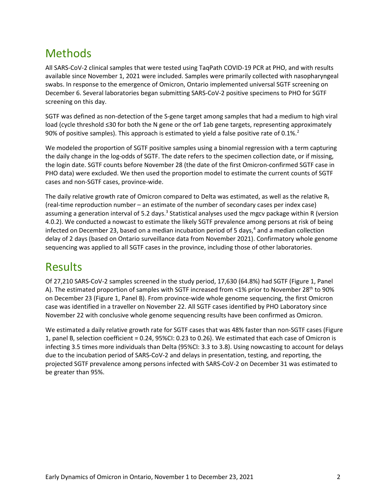# Methods

All SARS-CoV-2 clinical samples that were tested using TaqPath COVID-19 PCR at PHO, and with results available since November 1, 2021 were included. Samples were primarily collected with nasopharyngeal swabs. In response to the emergence of Omicron, Ontario implemented universal SGTF screening on December 6. Several laboratories began submitting SARS-CoV-2 positive specimens to PHO for SGTF screening on this day.

SGTF was defined as non-detection of the S-gene target among samples that had a medium to high viral load (cycle threshold ≤30 for both the N gene or the orf 1ab gene targets, representing approximately 90% of positive samples). This approach is estimated to yield a false positive rate of  $0.1\%$ .

We modeled the proportion of SGTF positive samples using a binomial regression with a term capturing the daily change in the log-odds of SGTF. The date refers to the specimen collection date, or if missing, the login date. SGTF counts before November 28 (the date of the first Omicron-confirmed SGTF case in PHO data) were excluded. We then used the proportion model to estimate the current counts of SGTF cases and non-SGTF cases, province-wide.

The daily relative growth rate of Omicron compared to Delta was estimated, as well as the relative  $R_t$ (real-time reproduction number – an estimate of the number of secondary cases per index case) assuming a generation interval of 5.2 days.<sup>3</sup> Statistical analyses used the mgcv package within R (version 4.0.2). We conducted a nowcast to estimate the likely SGTF prevalence among persons at risk of being infected on December 23, based on a median incubation period of 5 days, <sup>4</sup> and a median collection delay of 2 days (based on Ontario surveillance data from November 2021). Confirmatory whole genome sequencing was applied to all SGTF cases in the province, including those of other laboratories.

# Results

Of 27,210 SARS-CoV-2 samples screened in the study period, 17,630 (64.8%) had SGTF (Figure 1, Panel A). The estimated proportion of samples with SGTF increased from <1% prior to November 28<sup>th</sup> to 90% on December 23 (Figure 1, Panel B). From province-wide whole genome sequencing, the first Omicron case was identified in a traveller on November 22. All SGTF cases identified by PHO Laboratory since November 22 with conclusive whole genome sequencing results have been confirmed as Omicron.

We estimated a daily relative growth rate for SGTF cases that was 48% faster than non-SGTF cases (Figure 1, panel B, selection coefficient = 0.24, 95%CI: 0.23 to 0.26). We estimated that each case of Omicron is infecting 3.5 times more individuals than Delta (95%CI: 3.3 to 3.8). Using nowcasting to account for delays due to the incubation period of SARS-CoV-2 and delays in presentation, testing, and reporting, the projected SGTF prevalence among persons infected with SARS-CoV-2 on December 31 was estimated to be greater than 95%.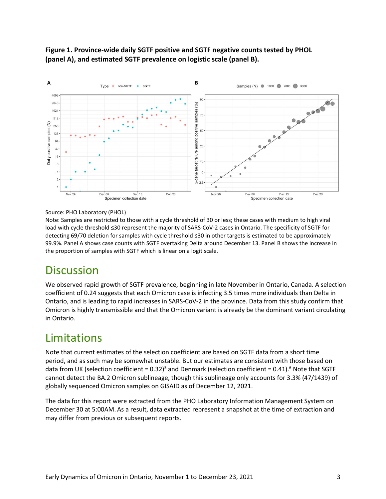

#### **Figure 1. Province-wide daily SGTF positive and SGTF negative counts tested by PHOL (panel A), and estimated SGTF prevalence on logistic scale (panel B).**

Source: PHO Laboratory (PHOL)

Note: Samples are restricted to those with a cycle threshold of 30 or less; these cases with medium to high viral load with cycle threshold ≤30 represent the majority of SARS-CoV-2 cases in Ontario. The specificity of SGTF for detecting 69/70 deletion for samples with cycle threshold ≤30 in other targets is estimated to be approximately 99.9%. Panel A shows case counts with SGTF overtaking Delta around December 13. Panel B shows the increase in the proportion of samples with SGTF which is linear on a logit scale.

### **Discussion**

We observed rapid growth of SGTF prevalence, beginning in late November in Ontario, Canada. A selection coefficient of 0.24 suggests that each Omicron case is infecting 3.5 times more individuals than Delta in Ontario, and is leading to rapid increases in SARS-CoV-2 in the province. Data from this study confirm that Omicron is highly transmissible and that the Omicron variant is already be the dominant variant circulating in Ontario.

### Limitations

Note that current estimates of the selection coefficient are based on SGTF data from a short time period, and as such may be somewhat unstable. But our estimates are consistent with those based on data from UK (selection coefficient =  $0.32$ )<sup>5</sup> and Denmark (selection coefficient =  $0.41$ ).<sup>6</sup> Note that SGTF cannot detect the BA.2 Omicron sublineage, though this sublineage only accounts for 3.3% (47/1439) of globally sequenced Omicron samples on GISAID as of December 12, 2021.

The data for this report were extracted from the PHO Laboratory Information Management System on December 30 at 5:00AM. As a result, data extracted represent a snapshot at the time of extraction and may differ from previous or subsequent reports.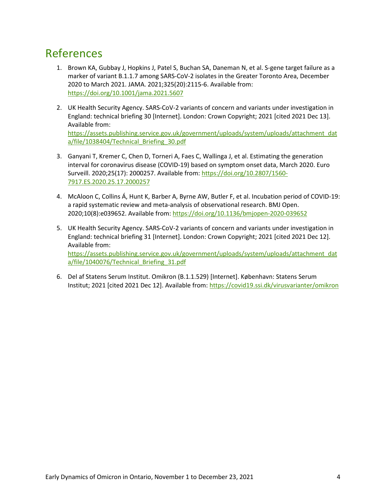### References

- 1. Brown KA, Gubbay J, Hopkins J, Patel S, Buchan SA, Daneman N, et al. S-gene target failure as a marker of variant B.1.1.7 among SARS-CoV-2 isolates in the Greater Toronto Area, December 2020 to March 2021. JAMA. 2021;325(20):2115-6. Available from: <https://doi.org/10.1001/jama.2021.5607>
- 2. UK Health Security Agency. SARS-CoV-2 variants of concern and variants under investigation in England: technical briefing 30 [Internet]. London: Crown Copyright; 2021 [cited 2021 Dec 13]. Available from: https://assets.publishing.service.gov.uk/government/uploads/system/uploads/attachment\_dat a/file/1038404/Technical Briefing 30.pdf
- 3. Ganyani T, Kremer C, Chen D, Torneri A, Faes C, Wallinga J, et al. Estimating the generation interval for coronavirus disease (COVID-19) based on symptom onset data, March 2020. Euro Surveill. 2020;25(17): 2000257. Available from: [https://doi.org/10.2807/1560-](https://doi.org/10.2807/1560-7917.ES.2020.25.17.2000257) [7917.ES.2020.25.17.2000257](https://doi.org/10.2807/1560-7917.ES.2020.25.17.2000257)
- 4. McAloon C, Collins Á, Hunt K, Barber A, Byrne AW, Butler F, et al. Incubation period of COVID-19: a rapid systematic review and meta-analysis of observational research. BMJ Open. 2020;10(8):e039652. Available from:<https://doi.org/10.1136/bmjopen-2020-039652>
- 5. UK Health Security Agency. SARS-CoV-2 variants of concern and variants under investigation in England: technical briefing 31 [Internet]. London: Crown Copyright; 2021 [cited 2021 Dec 12]. Available from: [https://assets.publishing.service.gov.uk/government/uploads/system/uploads/attachment\\_dat](https://assets.publishing.service.gov.uk/government/uploads/system/uploads/attachment_data/file/1040076/Technical_Briefing_31.pdf) [a/file/1040076/Technical\\_Briefing\\_31.pdf](https://assets.publishing.service.gov.uk/government/uploads/system/uploads/attachment_data/file/1040076/Technical_Briefing_31.pdf)
- 6. Del af Statens Serum Institut. Omikron (B.1.1.529) [Internet]. København: Statens Serum Institut; 2021 [cited 2021 Dec 12]. Available from:<https://covid19.ssi.dk/virusvarianter/omikron>